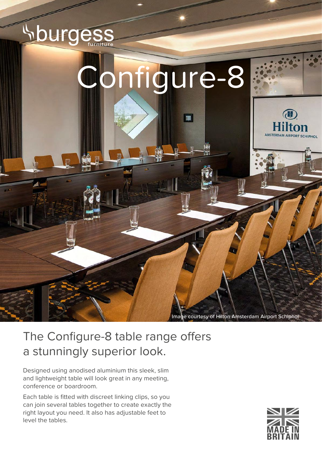

Image courtesy of Hilton Amsterdam Airport Schiphol

# The Configure-8 table range offers a stunningly superior look.

Designed using anodised aluminium this sleek, slim and lightweight table will look great in any meeting, conference or boardroom.

Each table is fitted with discreet linking clips, so you can join several tables together to create exactly the right layout you need. It also has adjustable feet to level the tables.